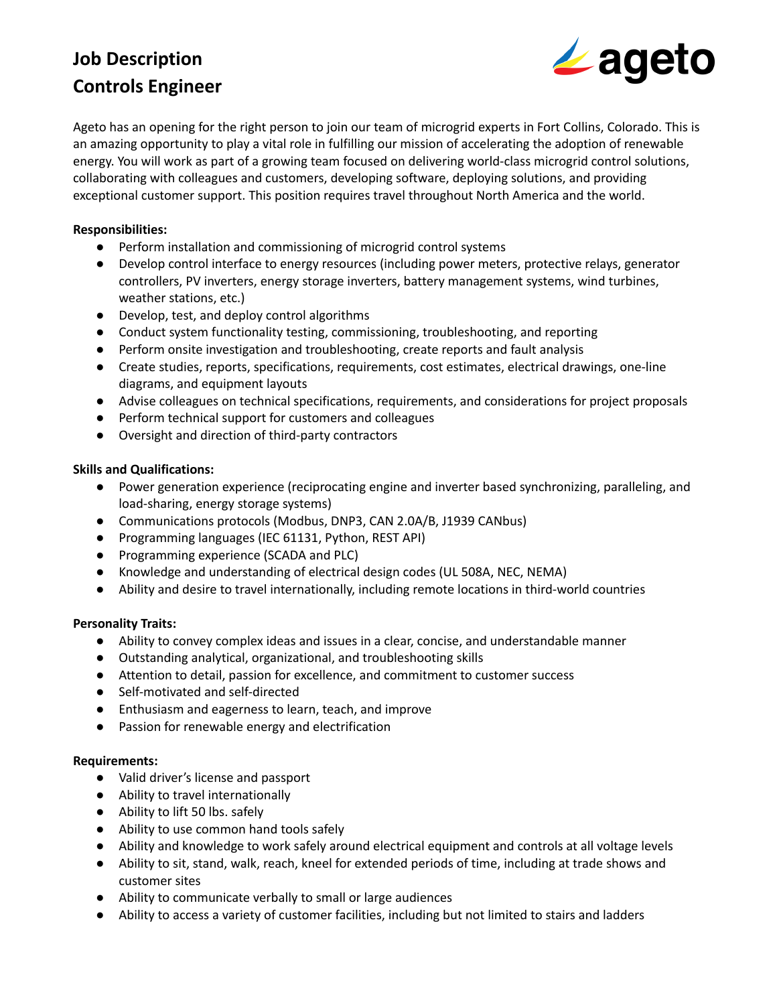# **Job Description Controls Engineer**



Ageto has an opening for the right person to join our team of microgrid experts in Fort Collins, Colorado. This is an amazing opportunity to play a vital role in fulfilling our mission of accelerating the adoption of renewable energy. You will work as part of a growing team focused on delivering world-class microgrid control solutions, collaborating with colleagues and customers, developing software, deploying solutions, and providing exceptional customer support. This position requires travel throughout North America and the world.

### **Responsibilities:**

- Perform installation and commissioning of microgrid control systems
- Develop control interface to energy resources (including power meters, protective relays, generator controllers, PV inverters, energy storage inverters, battery management systems, wind turbines, weather stations, etc.)
- Develop, test, and deploy control algorithms
- Conduct system functionality testing, commissioning, troubleshooting, and reporting
- Perform onsite investigation and troubleshooting, create reports and fault analysis
- Create studies, reports, specifications, requirements, cost estimates, electrical drawings, one-line diagrams, and equipment layouts
- Advise colleagues on technical specifications, requirements, and considerations for project proposals
- Perform technical support for customers and colleagues
- Oversight and direction of third-party contractors

#### **Skills and Qualifications:**

- Power generation experience (reciprocating engine and inverter based synchronizing, paralleling, and load-sharing, energy storage systems)
- Communications protocols (Modbus, DNP3, CAN 2.0A/B, J1939 CANbus)
- Programming languages (IEC 61131, Python, REST API)
- Programming experience (SCADA and PLC)
- Knowledge and understanding of electrical design codes (UL 508A, NEC, NEMA)
- Ability and desire to travel internationally, including remote locations in third-world countries

#### **Personality Traits:**

- Ability to convey complex ideas and issues in a clear, concise, and understandable manner
- Outstanding analytical, organizational, and troubleshooting skills
- Attention to detail, passion for excellence, and commitment to customer success
- Self-motivated and self-directed
- Enthusiasm and eagerness to learn, teach, and improve
- Passion for renewable energy and electrification

#### **Requirements:**

- Valid driver's license and passport
- Ability to travel internationally
- Ability to lift 50 lbs. safely
- Ability to use common hand tools safely
- Ability and knowledge to work safely around electrical equipment and controls at all voltage levels
- Ability to sit, stand, walk, reach, kneel for extended periods of time, including at trade shows and customer sites
- Ability to communicate verbally to small or large audiences
- Ability to access a variety of customer facilities, including but not limited to stairs and ladders